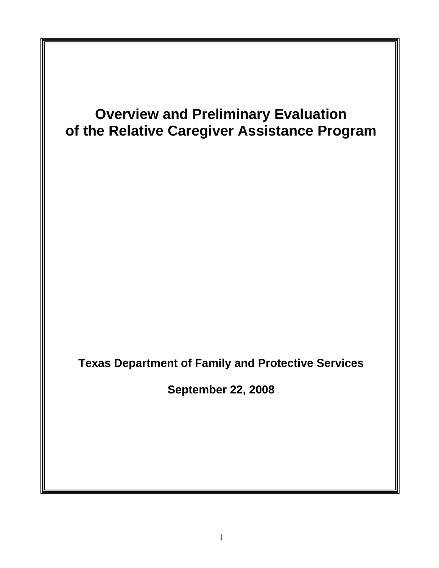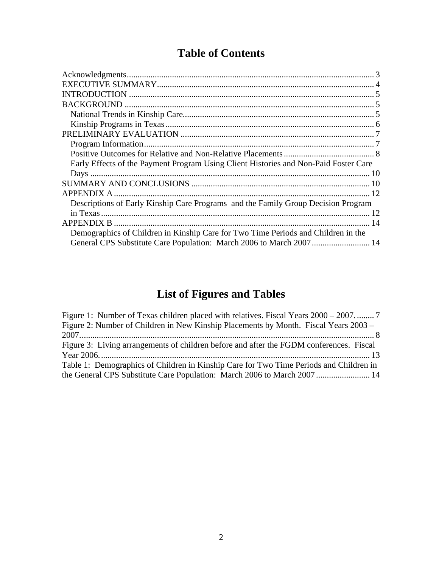## **Table of Contents**

| Early Effects of the Payment Program Using Client Histories and Non-Paid Foster Care |  |
|--------------------------------------------------------------------------------------|--|
|                                                                                      |  |
|                                                                                      |  |
|                                                                                      |  |
| Descriptions of Early Kinship Care Programs and the Family Group Decision Program    |  |
|                                                                                      |  |
|                                                                                      |  |
| Demographics of Children in Kinship Care for Two Time Periods and Children in the    |  |
|                                                                                      |  |

# **List of Figures and Tables**

| Figure 2: Number of Children in New Kinship Placements by Month. Fiscal Years 2003 –    |
|-----------------------------------------------------------------------------------------|
|                                                                                         |
| Figure 3: Living arrangements of children before and after the FGDM conferences. Fiscal |
|                                                                                         |
| Table 1: Demographics of Children in Kinship Care for Two Time Periods and Children in  |
| the General CPS Substitute Care Population: March 2006 to March 2007 14                 |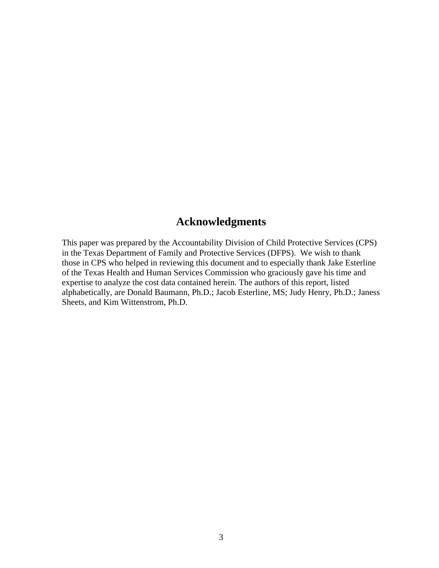#### **Acknowledgments**

<span id="page-2-0"></span>This paper was prepared by the Accountability Division of Child Protective Services (CPS) in the Texas Department of Family and Protective Services (DFPS). We wish to thank those in CPS who helped in reviewing this document and to especially thank Jake Esterline of the Texas Health and Human Services Commission who graciously gave his time and expertise to analyze the cost data contained herein. The authors of this report, listed alphabetically, are Donald Baumann, Ph.D.; Jacob Esterline, MS; Judy Henry, Ph.D.; Janess Sheets, and Kim Wittenstrom, Ph.D.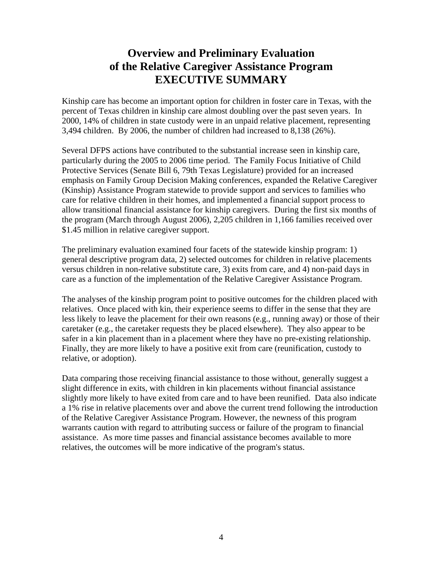## **Overview and Preliminary Evaluation of the Relative Caregiver Assistance Program EXECUTIVE SUMMARY**

<span id="page-3-0"></span>Kinship care has become an important option for children in foster care in Texas, with the percent of Texas children in kinship care almost doubling over the past seven years. In 2000, 14% of children in state custody were in an unpaid relative placement, representing 3,494 children. By 2006, the number of children had increased to 8,138 (26%).

Several DFPS actions have contributed to the substantial increase seen in kinship care, particularly during the 2005 to 2006 time period. The Family Focus Initiative of Child Protective Services (Senate Bill 6, 79th Texas Legislature) provided for an increased emphasis on Family Group Decision Making conferences, expanded the Relative Caregiver (Kinship) Assistance Program statewide to provide support and services to families who care for relative children in their homes, and implemented a financial support process to allow transitional financial assistance for kinship caregivers. During the first six months of the program (March through August 2006), 2,205 children in 1,166 families received over \$1.45 million in relative caregiver support.

The preliminary evaluation examined four facets of the statewide kinship program: 1) general descriptive program data, 2) selected outcomes for children in relative placements versus children in non-relative substitute care, 3) exits from care, and 4) non-paid days in care as a function of the implementation of the Relative Caregiver Assistance Program.

The analyses of the kinship program point to positive outcomes for the children placed with relatives. Once placed with kin, their experience seems to differ in the sense that they are less likely to leave the placement for their own reasons (e.g., running away) or those of their caretaker (e.g., the caretaker requests they be placed elsewhere). They also appear to be safer in a kin placement than in a placement where they have no pre-existing relationship. Finally, they are more likely to have a positive exit from care (reunification, custody to relative, or adoption).

Data comparing those receiving financial assistance to those without, generally suggest a slight difference in exits, with children in kin placements without financial assistance slightly more likely to have exited from care and to have been reunified. Data also indicate a 1% rise in relative placements over and above the current trend following the introduction of the Relative Caregiver Assistance Program. However, the newness of this program warrants caution with regard to attributing success or failure of the program to financial assistance. As more time passes and financial assistance becomes available to more relatives, the outcomes will be more indicative of the program's status.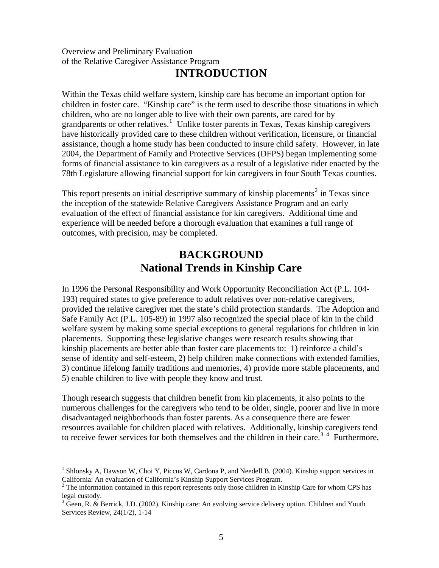#### <span id="page-4-0"></span>Overview and Preliminary Evaluation of the Relative Caregiver Assistance Program

### **INTRODUCTION**

Within the Texas child welfare system, kinship care has become an important option for children in foster care. "Kinship care" is the term used to describe those situations in which children, who are no longer able to live with their own parents, are cared for by grandparents or other relatives.<sup>1</sup> Unlike foster parents in Texas, Texas kinship caregivers have historically provided care to these children without verification, licensure, or financial assistance, though a home study has been conducted to insure child safety. However, in late 2004, the Department of Family and Protective Services (DFPS) began implementing some forms of financial assistance to kin caregivers as a result of a legislative rider enacted by the 78th Legislature allowing financial support for kin caregivers in four South Texas counties.

This report presents an initial descriptive summary of kinship placements<sup>2</sup> in Texas since the inception of the statewide Relative Caregivers Assistance Program and an early evaluation of the effect of financial assistance for kin caregivers. Additional time and experience will be needed before a thorough evaluation that examines a full range of outcomes, with precision, may be completed.

## **BACKGROUND National Trends in Kinship Care**

In 1996 the Personal Responsibility and Work Opportunity Reconciliation Act (P.L. 104- 193) required states to give preference to adult relatives over non-relative caregivers, provided the relative caregiver met the state's child protection standards. The Adoption and Safe Family Act (P.L. 105-89) in 1997 also recognized the special place of kin in the child welfare system by making some special exceptions to general regulations for children in kin placements. Supporting these legislative changes were research results showing that kinship placements are better able than foster care placements to: 1) reinforce a child's sense of identity and self-esteem, 2) help children make connections with extended families, 3) continue lifelong family traditions and memories, 4) provide more stable placements, and 5) enable children to live with people they know and trust.

Though research suggests that children benefit from kin placements, it also points to the numerous challenges for the caregivers who tend to be older, single, poorer and live in more disadvantaged neighborhoods than foster parents. As a consequence there are fewer resources available for children placed with relatives. Additionally, kinship caregivers tend to receive fewer services for both themselves and the children in their care.<sup>34</sup> Furthermore,

<sup>&</sup>lt;sup>1</sup> Shlonsky A, Dawson W, Choi Y, Piccus W, Cardona P, and Needell B. (2004). Kinship support services in California: An evaluation of California's Kinship Support Services Program.

 $2^2$  The information contained in this report represents only those children in Kinship Care for whom CPS has legal custody.

 $3\overline{3}$  Geen, R. & Berrick, J.D. (2002). Kinship care: An evolving service delivery option. Children and Youth Services Review, 24(1/2), 1-14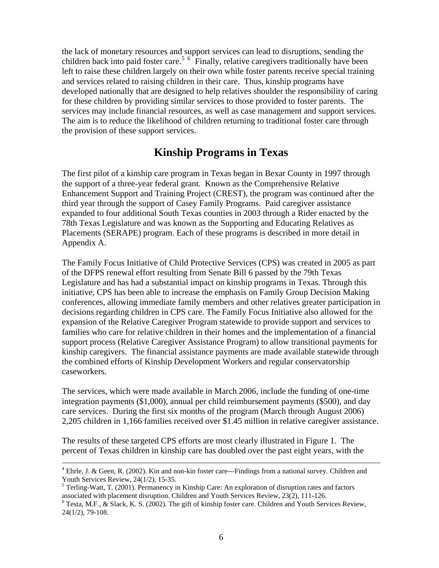<span id="page-5-0"></span>the lack of monetary resources and support services can lead to disruptions, sending the children back into paid foster care.<sup>5 6</sup> Finally, relative caregivers traditionally have been left to raise these children largely on their own while foster parents receive special training and services related to raising children in their care. Thus, kinship programs have developed nationally that are designed to help relatives shoulder the responsibility of caring for these children by providing similar services to those provided to foster parents. The services may include financial resources, as well as case management and support services. The aim is to reduce the likelihood of children returning to traditional foster care through the provision of these support services.

### **Kinship Programs in Texas**

The first pilot of a kinship care program in Texas began in Bexar County in 1997 through the support of a three-year federal grant. Known as the Comprehensive Relative Enhancement Support and Training Project (CREST), the program was continued after the third year through the support of Casey Family Programs. Paid caregiver assistance expanded to four additional South Texas counties in 2003 through a Rider enacted by the 78th Texas Legislature and was known as the Supporting and Educating Relatives as Placements (SERAPE) program. Each of these programs is described in more detail in Appendix A.

The Family Focus Initiative of Child Protective Services (CPS) was created in 2005 as part of the DFPS renewal effort resulting from Senate Bill 6 passed by the 79th Texas Legislature and has had a substantial impact on kinship programs in Texas. Through this initiative, CPS has been able to increase the emphasis on Family Group Decision Making conferences, allowing immediate family members and other relatives greater participation in decisions regarding children in CPS care. The Family Focus Initiative also allowed for the expansion of the Relative Caregiver Program statewide to provide support and services to families who care for relative children in their homes and the implementation of a financial support process (Relative Caregiver Assistance Program) to allow transitional payments for kinship caregivers. The financial assistance payments are made available statewide through the combined efforts of Kinship Development Workers and regular conservatorship caseworkers.

The services, which were made available in March 2006, include the funding of one-time integration payments (\$1,000), annual per child reimbursement payments (\$500), and day care services. During the first six months of the program (March through August 2006) 2,205 children in 1,166 families received over \$1.45 million in relative caregiver assistance.

The results of these targeted CPS efforts are most clearly illustrated in Figure 1. The percent of Texas children in kinship care has doubled over the past eight years, with the

 $\frac{1}{4}$ <sup>4</sup> Ehrle, J. & Geen, R. (2002). Kin and non-kin foster care---Findings from a national survey. Children and Youth Services Review, 24(1/2), 15-35.

<sup>&</sup>lt;sup>5</sup> Terling-Watt, T. (2001). Permanency in Kinship Care: An exploration of disruption rates and factors associated with placement disruption. Children and Youth Services Review, 23(2), 111-126. 6

Testa, M.F., & Slack, K. S. (2002). The gift of kinship foster care. Children and Youth Services Review, 24(1/2), 79-108.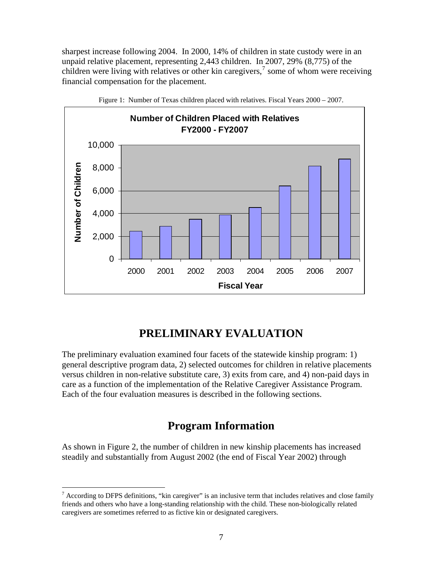<span id="page-6-0"></span>sharpest increase following 2004. In 2000, 14% of children in state custody were in an unpaid relative placement, representing 2,443 children. In 2007, 29% (8,775) of the children were living with relatives or other kin caregivers, $\frac{7}{1}$  some of whom were receiving financial compensation for the placement.





### **PRELIMINARY EVALUATION**

The preliminary evaluation examined four facets of the statewide kinship program: 1) general descriptive program data, 2) selected outcomes for children in relative placements versus children in non-relative substitute care, 3) exits from care, and 4) non-paid days in care as a function of the implementation of the Relative Caregiver Assistance Program. Each of the four evaluation measures is described in the following sections.

#### **Program Information**

As shown in Figure 2, the number of children in new kinship placements has increased steadily and substantially from August 2002 (the end of Fiscal Year 2002) through

 $<sup>7</sup>$  According to DFPS definitions, "kin caregiver" is an inclusive term that includes relatives and close family</sup> friends and others who have a long-standing relationship with the child. These non-biologically related caregivers are sometimes referred to as fictive kin or designated caregivers.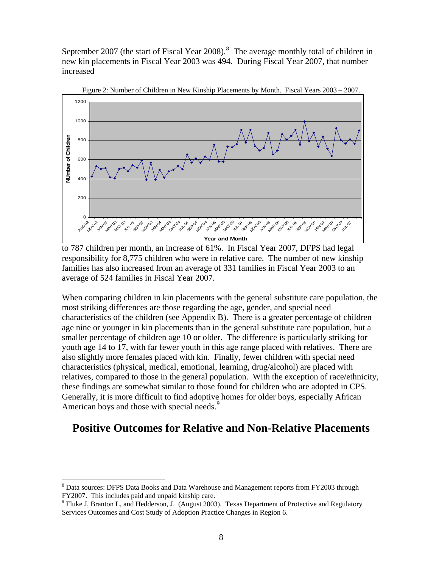<span id="page-7-0"></span>September 2007 (the start of Fiscal Year 2008).<sup>8</sup> The average monthly total of children in new kin placements in Fiscal Year 2003 was 494. During Fiscal Year 2007, that number increased



Figure 2: Number of Children in New Kinship Placements by Month. Fiscal Years 2003 – 2007.

When comparing children in kin placements with the general substitute care population, the most striking differences are those regarding the age, gender, and special need characteristics of the children (see Appendix B). There is a greater percentage of children age nine or younger in kin placements than in the general substitute care population, but a smaller percentage of children age 10 or older. The difference is particularly striking for youth age 14 to 17, with far fewer youth in this age range placed with relatives. There are also slightly more females placed with kin. Finally, fewer children with special need characteristics (physical, medical, emotional, learning, drug/alcohol) are placed with relatives, compared to those in the general population. With the exception of race/ethnicity, these findings are somewhat similar to those found for children who are adopted in CPS. Generally, it is more difficult to find adoptive homes for older boys, especially African American boys and those with special needs.<sup>9</sup>

#### **Positive Outcomes for Relative and Non-Relative Placements**

to 787 children per month, an increase of 61%. In Fiscal Year 2007, DFPS had legal responsibility for 8,775 children who were in relative care. The number of new kinship families has also increased from an average of 331 families in Fiscal Year 2003 to an average of 524 families in Fiscal Year 2007.

<sup>&</sup>lt;sup>8</sup> Data sources: DFPS Data Books and Data Warehouse and Management reports from FY2003 through FY2007. This includes paid and unpaid kinship care.

 $9$  Fluke J, Branton L, and Hedderson, J. (August 2003). Texas Department of Protective and Regulatory Services Outcomes and Cost Study of Adoption Practice Changes in Region 6.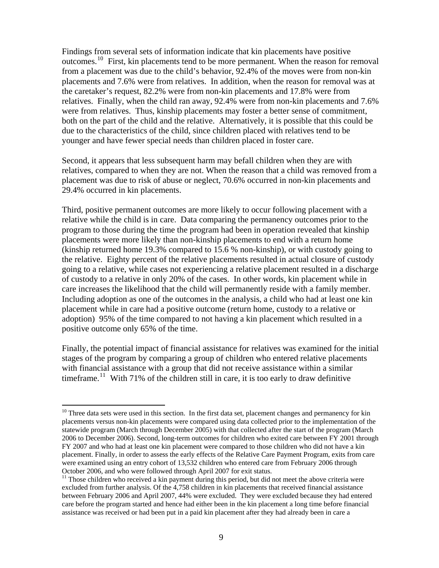Findings from several sets of information indicate that kin placements have positive outcomes.10 First, kin placements tend to be more permanent. When the reason for removal from a placement was due to the child's behavior, 92.4% of the moves were from non-kin placements and 7.6% were from relatives. In addition, when the reason for removal was at the caretaker's request, 82.2% were from non-kin placements and 17.8% were from relatives. Finally, when the child ran away, 92.4% were from non-kin placements and 7.6% were from relatives. Thus, kinship placements may foster a better sense of commitment, both on the part of the child and the relative. Alternatively, it is possible that this could be due to the characteristics of the child, since children placed with relatives tend to be younger and have fewer special needs than children placed in foster care.

Second, it appears that less subsequent harm may befall children when they are with relatives, compared to when they are not. When the reason that a child was removed from a placement was due to risk of abuse or neglect, 70.6% occurred in non-kin placements and 29.4% occurred in kin placements.

Third, positive permanent outcomes are more likely to occur following placement with a relative while the child is in care. Data comparing the permanency outcomes prior to the program to those during the time the program had been in operation revealed that kinship placements were more likely than non-kinship placements to end with a return home (kinship returned home 19.3% compared to 15.6 % non-kinship), or with custody going to the relative. Eighty percent of the relative placements resulted in actual closure of custody going to a relative, while cases not experiencing a relative placement resulted in a discharge of custody to a relative in only 20% of the cases. In other words, kin placement while in care increases the likelihood that the child will permanently reside with a family member. Including adoption as one of the outcomes in the analysis, a child who had at least one kin placement while in care had a positive outcome (return home, custody to a relative or adoption) 95% of the time compared to not having a kin placement which resulted in a positive outcome only 65% of the time.

Finally, the potential impact of financial assistance for relatives was examined for the initial stages of the program by comparing a group of children who entered relative placements with financial assistance with a group that did not receive assistance within a similar timeframe.<sup>11</sup> With 71% of the children still in care, it is too early to draw definitive

<sup>&</sup>lt;sup>10</sup> Three data sets were used in this section. In the first data set, placement changes and permanency for kin placements versus non-kin placements were compared using data collected prior to the implementation of the statewide program (March through December 2005) with that collected after the start of the program (March 2006 to December 2006). Second, long-term outcomes for children who exited care between FY 2001 through FY 2007 and who had at least one kin placement were compared to those children who did not have a kin placement. Finally, in order to assess the early effects of the Relative Care Payment Program, exits from care were examined using an entry cohort of 13,532 children who entered care from February 2006 through October 2006, and who were followed through April 2007 for exit status.

 $11$  Those children who received a kin payment during this period, but did not meet the above criteria were excluded from further analysis. Of the 4,758 children in kin placements that received financial assistance between February 2006 and April 2007, 44% were excluded. They were excluded because they had entered care before the program started and hence had either been in the kin placement a long time before financial assistance was received or had been put in a paid kin placement after they had already been in care a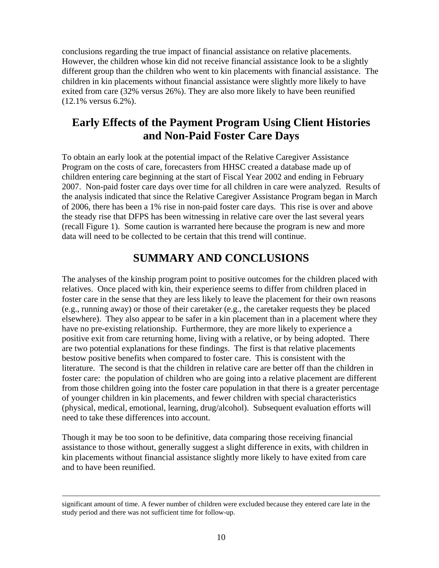<span id="page-9-0"></span>conclusions regarding the true impact of financial assistance on relative placements. However, the children whose kin did not receive financial assistance look to be a slightly different group than the children who went to kin placements with financial assistance. The children in kin placements without financial assistance were slightly more likely to have exited from care (32% versus 26%). They are also more likely to have been reunified (12.1% versus 6.2%).

### **Early Effects of the Payment Program Using Client Histories and Non-Paid Foster Care Days**

To obtain an early look at the potential impact of the Relative Caregiver Assistance Program on the costs of care, forecasters from HHSC created a database made up of children entering care beginning at the start of Fiscal Year 2002 and ending in February 2007. Non-paid foster care days over time for all children in care were analyzed. Results of the analysis indicated that since the Relative Caregiver Assistance Program began in March of 2006, there has been a 1% rise in non-paid foster care days. This rise is over and above the steady rise that DFPS has been witnessing in relative care over the last several years (recall Figure 1). Some caution is warranted here because the program is new and more data will need to be collected to be certain that this trend will continue.

### **SUMMARY AND CONCLUSIONS**

The analyses of the kinship program point to positive outcomes for the children placed with relatives. Once placed with kin, their experience seems to differ from children placed in foster care in the sense that they are less likely to leave the placement for their own reasons (e.g., running away) or those of their caretaker (e.g., the caretaker requests they be placed elsewhere). They also appear to be safer in a kin placement than in a placement where they have no pre-existing relationship. Furthermore, they are more likely to experience a positive exit from care returning home, living with a relative, or by being adopted. There are two potential explanations for these findings. The first is that relative placements bestow positive benefits when compared to foster care. This is consistent with the literature. The second is that the children in relative care are better off than the children in foster care: the population of children who are going into a relative placement are different from those children going into the foster care population in that there is a greater percentage of younger children in kin placements, and fewer children with special characteristics (physical, medical, emotional, learning, drug/alcohol). Subsequent evaluation efforts will need to take these differences into account.

Though it may be too soon to be definitive, data comparing those receiving financial assistance to those without, generally suggest a slight difference in exits, with children in kin placements without financial assistance slightly more likely to have exited from care and to have been reunified.

significant amount of time. A fewer number of children were excluded because they entered care late in the study period and there was not sufficient time for follow-up.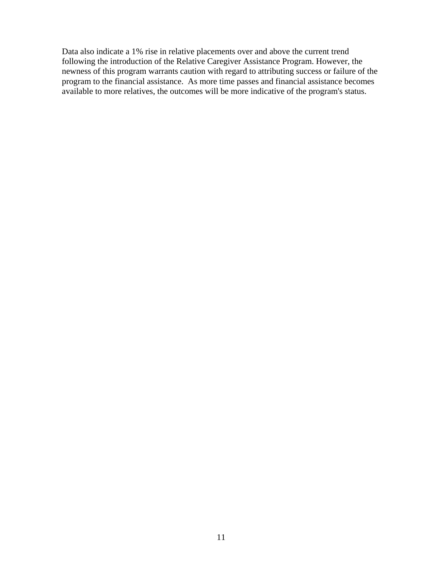Data also indicate a 1% rise in relative placements over and above the current trend following the introduction of the Relative Caregiver Assistance Program. However, the newness of this program warrants caution with regard to attributing success or failure of the program to the financial assistance. As more time passes and financial assistance becomes available to more relatives, the outcomes will be more indicative of the program's status.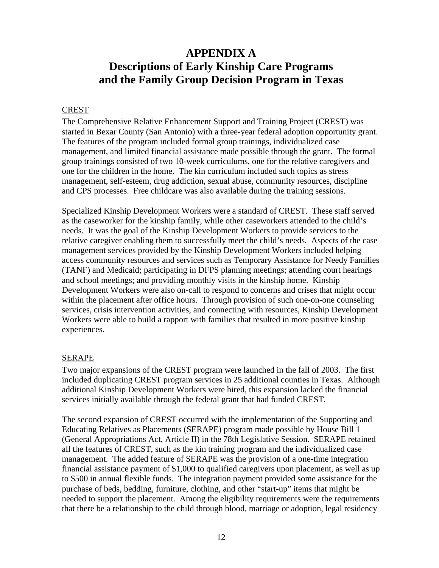### <span id="page-11-0"></span>**APPENDIX A Descriptions of Early Kinship Care Programs and the Family Group Decision Program in Texas**

#### CREST

The Comprehensive Relative Enhancement Support and Training Project (CREST) was started in Bexar County (San Antonio) with a three-year federal adoption opportunity grant. The features of the program included formal group trainings, individualized case management, and limited financial assistance made possible through the grant. The formal group trainings consisted of two 10-week curriculums, one for the relative caregivers and one for the children in the home. The kin curriculum included such topics as stress management, self-esteem, drug addiction, sexual abuse, community resources, discipline and CPS processes. Free childcare was also available during the training sessions.

Specialized Kinship Development Workers were a standard of CREST. These staff served as the caseworker for the kinship family, while other caseworkers attended to the child's needs. It was the goal of the Kinship Development Workers to provide services to the relative caregiver enabling them to successfully meet the child's needs. Aspects of the case management services provided by the Kinship Development Workers included helping access community resources and services such as Temporary Assistance for Needy Families (TANF) and Medicaid; participating in DFPS planning meetings; attending court hearings and school meetings; and providing monthly visits in the kinship home. Kinship Development Workers were also on-call to respond to concerns and crises that might occur within the placement after office hours. Through provision of such one-on-one counseling services, crisis intervention activities, and connecting with resources, Kinship Development Workers were able to build a rapport with families that resulted in more positive kinship experiences.

#### SERAPE

Two major expansions of the CREST program were launched in the fall of 2003. The first included duplicating CREST program services in 25 additional counties in Texas. Although additional Kinship Development Workers were hired, this expansion lacked the financial services initially available through the federal grant that had funded CREST.

The second expansion of CREST occurred with the implementation of the Supporting and Educating Relatives as Placements (SERAPE) program made possible by House Bill 1 (General Appropriations Act, Article II) in the 78th Legislative Session. SERAPE retained all the features of CREST, such as the kin training program and the individualized case management. The added feature of SERAPE was the provision of a one-time integration financial assistance payment of \$1,000 to qualified caregivers upon placement, as well as up to \$500 in annual flexible funds. The integration payment provided some assistance for the purchase of beds, bedding, furniture, clothing, and other "start-up" items that might be needed to support the placement. Among the eligibility requirements were the requirements that there be a relationship to the child through blood, marriage or adoption, legal residency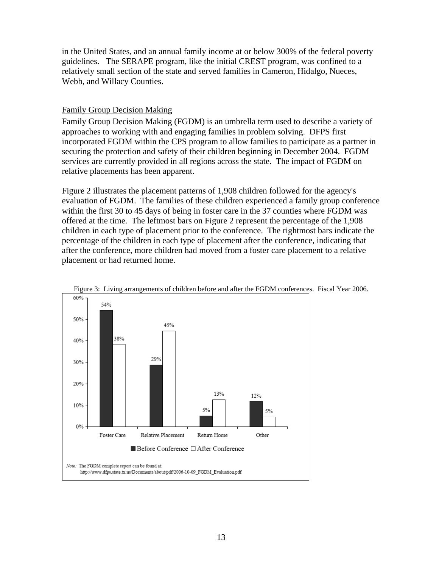<span id="page-12-0"></span>in the United States, and an annual family income at or below 300% of the federal poverty guidelines. The SERAPE program, like the initial CREST program, was confined to a relatively small section of the state and served families in Cameron, Hidalgo, Nueces, Webb, and Willacy Counties.

#### Family Group Decision Making

Family Group Decision Making (FGDM) is an umbrella term used to describe a variety of approaches to working with and engaging families in problem solving. DFPS first incorporated FGDM within the CPS program to allow families to participate as a partner in securing the protection and safety of their children beginning in December 2004. FGDM services are currently provided in all regions across the state. The impact of FGDM on relative placements has been apparent.

Figure 2 illustrates the placement patterns of 1,908 children followed for the agency's evaluation of FGDM. The families of these children experienced a family group conference within the first 30 to 45 days of being in foster care in the 37 counties where FGDM was offered at the time. The leftmost bars on Figure 2 represent the percentage of the 1,908 children in each type of placement prior to the conference. The rightmost bars indicate the percentage of the children in each type of placement after the conference, indicating that after the conference, more children had moved from a foster care placement to a relative placement or had returned home.